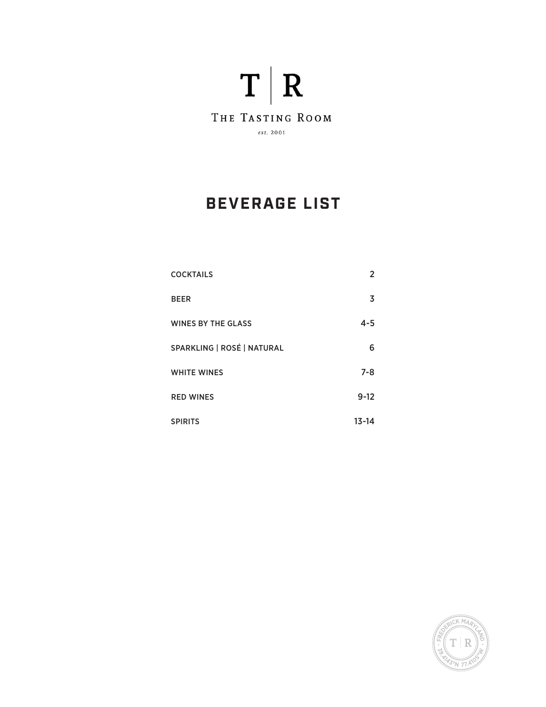

# **BEVERAGE LIST**

| <b>COCKTAILS</b>           | 2         |
|----------------------------|-----------|
| <b>BEER</b>                | 3         |
| <b>WINES BY THE GLASS</b>  | $4 - 5$   |
| SPARKLING   ROSÉ   NATURAL | 6         |
| <b>WHITE WINES</b>         | $7 - 8$   |
| <b>RED WINES</b>           | $9 - 12$  |
| <b>SPIRITS</b>             | $13 - 14$ |

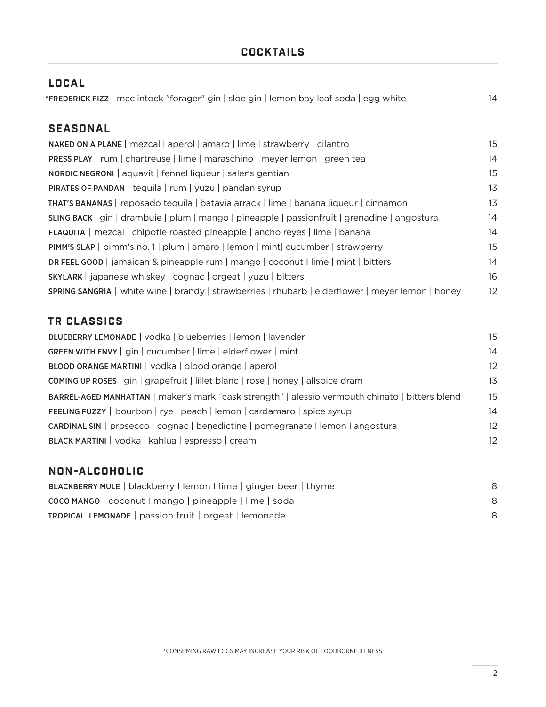#### **COCKTAILS**

| <b>LOCAL</b>                                                                                      |    |
|---------------------------------------------------------------------------------------------------|----|
| *FREDERICK FIZZ   mcclintock "forager" gin   sloe gin   lemon bay leaf soda   egg white           | 14 |
|                                                                                                   |    |
| <b>SEASONAL</b>                                                                                   |    |
| NAKED ON A PLANE   mezcal   aperol   amaro   lime   strawberry   cilantro                         | 15 |
| PRESS PLAY   rum   chartreuse   lime   maraschino   meyer lemon   green tea                       | 14 |
| <b>NORDIC NEGRONI</b>   aquavit   fennel liqueur   saler's gentian                                | 15 |
| PIRATES OF PANDAN   tequila   rum   yuzu   pandan syrup                                           | 13 |
| THAT'S BANANAS   reposado tequila   batavia arrack   lime   banana liqueur   cinnamon             | 13 |
| SLING BACK   gin   drambuie   plum   mango   pineapple   passionfruit   grenadine   angostura     | 14 |
| <b>FLAQUITA</b>   mezcal   chipotle roasted pineapple   ancho reyes   lime   banana               | 14 |
| PIMM'S SLAP   pimm's no. 1   plum   amaro   lemon   mint  cucumber   strawberry                   | 15 |
| DR FEEL GOOD   jamaican & pineapple rum   mango   coconut I lime   mint   bitters                 | 14 |
| SKYLARK   japanese whiskey   cognac   orgeat   yuzu   bitters                                     | 16 |
| SPRING SANGRIA   white wine   brandy   strawberries   rhubarb   elderflower   meyer lemon   honey | 12 |

### **TR CLASSICS**

| BLUEBERRY LEMONADE   vodka   blueberries   lemon   lavender                                     | 15 |
|-------------------------------------------------------------------------------------------------|----|
| GREEN WITH ENVY   gin   cucumber   lime   elderflower   mint                                    | 14 |
| BLOOD ORANGE MARTINI   vodka   blood orange   aperol                                            | 12 |
| <b>COMING UP ROSES</b>   gin   grapefruit   lillet blanc   rose   honey   allspice dram         | 13 |
| BARREL-AGED MANHATTAN   maker's mark "cask strength"   alessio vermouth chinato   bitters blend | 15 |
| FEELING FUZZY   bourbon   rye   peach   lemon   cardamaro   spice syrup                         | 14 |
| CARDINAL SIN   prosecco   cognac   benedictine   pomegranate   lemon   angostura                | 12 |
| BLACK MARTINI   vodka   kahlua   espresso   cream                                               | 12 |
|                                                                                                 |    |

#### **NON-ALCOHOLIC**

| BLACKBERRY MULE   blackberry I lemon I lime   ginger beer   thyme |   |
|-------------------------------------------------------------------|---|
| COCO MANGO   coconut I mango   pineapple   lime   soda            |   |
| TROPICAL LEMONADE   passion fruit   orgeat   lemonade             | 8 |

\*CONSUMING RAW EGGS MAY INCREASE YOUR RISK OF FOODBORNE ILLNESS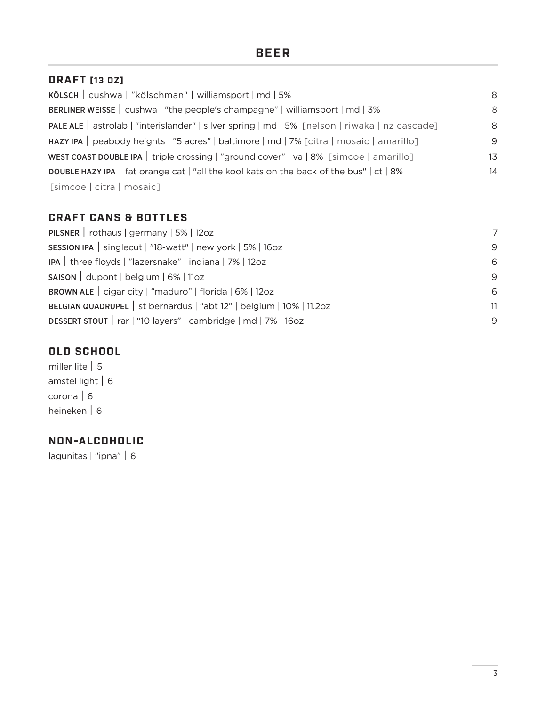#### **DRAFT [13 OZ]**

| KÖLSCH   cushwa   "kölschman"   williamsport   md   5%                                         | 8  |
|------------------------------------------------------------------------------------------------|----|
| BERLINER WEISSE   cushwa   "the people's champagne"   williamsport   md   3%                   | 8  |
| PALE ALE   astrolab   "interislander"   silver spring   md   5% [nelson   riwaka   nz cascade] | 8  |
| HAZY IPA   peabody heights   "5 acres"   baltimore   md   7% [citra   mosaic   amarillo]       | 9  |
| WEST COAST DOUBLE IPA   triple crossing   "ground cover"   va   8% [simcoe   amarillo]         | 13 |
| DOUBLE HAZY IPA   fat orange cat   "all the kool kats on the back of the bus"   ct   8%        | 14 |
| [simcoe   citra   mosaic]                                                                      |    |

### **CRAFT CANS & BOTTLES**

| PILSNER   rothaus   germany   $5\%$   12oz                           | 7  |
|----------------------------------------------------------------------|----|
| SESSION IPA   singlecut   "18-watt"   new york   5%   16oz           | 9  |
| IPA   three floyds   "lazersnake"   indiana   7%   12oz              | 6  |
| $SASON$ dupont   belgium   6%   11oz                                 | 9  |
| BROWN ALE   cigar city   "maduro"   florida   6%   12oz              | 6  |
| BELGIAN QUADRUPEL   st bernardus   "abt 12"   belgium   10%   11.2oz | 11 |
| DESSERT STOUT   rar   "10 layers"   cambridge   md   7%   16oz       | 9  |

#### **OLD SCHOOL**

miller lite | 5 amstel light | 6 corona | 6 heineken | 6

### **NON-ALCOHOLIC**

lagunitas | "ipna" | 6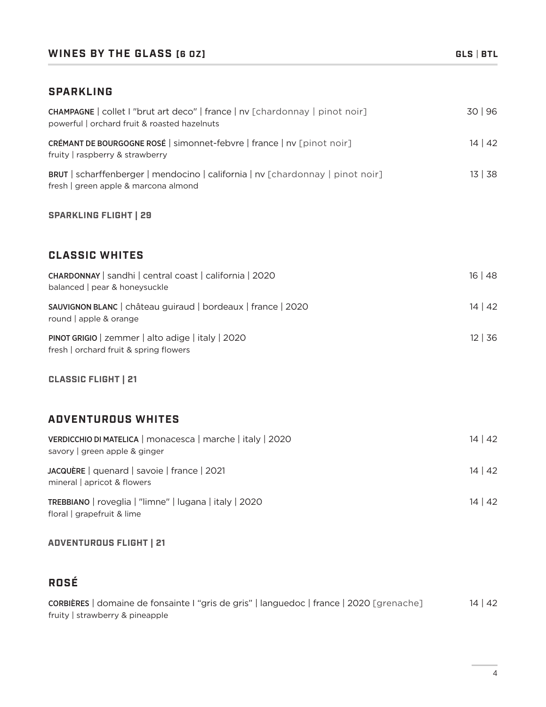#### **WINES BY THE GLASS [6 OZ] GLS** | **BTL**

#### **SPARKLING**

| CHAMPAGNE   collet I "brut art deco"   france   nv [chardonnay   pinot noir]<br>powerful   orchard fruit & roasted hazelnuts  | 30   96      |
|-------------------------------------------------------------------------------------------------------------------------------|--------------|
| CRÉMANT DE BOURGOGNE ROSÉ   simonnet-febvre   france   nv [pinot noir]<br>fruity raspberry & strawberry                       | 14   42      |
| <b>BRUT</b>   scharffenberger   mendocino   california   nv [chardonnay   pinot noir]<br>fresh   green apple & marcona almond | 13   38      |
| <b>SPARKLING FLIGHT   29</b>                                                                                                  |              |
| <b>CLASSIC WHITES</b>                                                                                                         |              |
| CHARDONNAY   sandhi   central coast   california   2020<br>balanced   pear & honeysuckle                                      | 16   48      |
| SAUVIGNON BLANC   château guiraud   bordeaux   france   2020<br>round   apple & orange                                        | 14   42      |
| PINOT GRIGIO   zemmer   alto adige   italy   2020<br>fresh   orchard fruit & spring flowers                                   | $12 \mid 36$ |
| <b>CLASSIC FLIGHT   21</b>                                                                                                    |              |

### **ADVENTUROUS WHITES**

| VERDICCHIO DI MATELICA   monacesca   marche   italy   2020<br>savory   green apple & ginger | $14 \mid 42$ |
|---------------------------------------------------------------------------------------------|--------------|
| JACQUÈRE   quenard   savoie   france   2021<br>mineral   apricot & flowers                  | $14 \mid 42$ |
| TREBBIANO   roveglia   "limne"   lugana   italy   2020<br>floral   grapefruit & lime        | 14   42      |

#### **ADVENTUROUS FLIGHT | 21**

## **ROSÉ**

| CORBIÈRES   domaine de fonsainte l "gris de gris"   languedoc   france   2020 [grenache] | $14 \mid 42$ |
|------------------------------------------------------------------------------------------|--------------|
| fruity   strawberry & pineapple                                                          |              |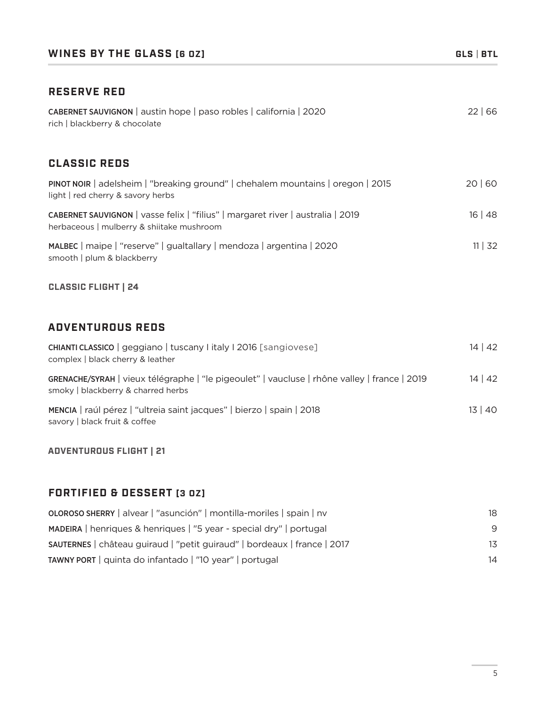#### **RESERVE RED**

| CABERNET SAUVIGNON   austin hope   paso robles   california   2020<br>rich   blackberry & chocolate                                | 22 66   |
|------------------------------------------------------------------------------------------------------------------------------------|---------|
| <b>CLASSIC REDS</b>                                                                                                                |         |
| PINOT NOIR   adelsheim   "breaking ground"   chehalem mountains   oregon   2015<br>light   red cherry & savory herbs               | 20 60   |
| CABERNET SAUVIGNON   vasse felix   "filius"   margaret river   australia   2019<br>herbaceous   mulberry & shiitake mushroom       | 16   48 |
| MALBEC   maipe   "reserve"   gualtallary   mendoza   argentina   2020<br>smooth   plum & blackberry                                | 11   32 |
| <b>CLASSIC FLIGHT   24</b>                                                                                                         |         |
| <b>ADVENTUROUS REDS</b>                                                                                                            |         |
| CHIANTI CLASSICO   geggiano   tuscany litaly   2016 [sangiovese]<br>complex   black cherry & leather                               | 14   42 |
| GRENACHE/SYRAH   vieux télégraphe   "le pigeoulet"   vaucluse   rhône valley   france   2019<br>smoky   blackberry & charred herbs | 14   42 |
| MENCIA   raúl pérez   "ultreia saint jacques"   bierzo   spain   2018                                                              | 13   40 |

**ADVENTUROUS FLIGHT | 21**

savory | black fruit & coffee

#### **FORTIFIED & DESSERT [3 OZ]**

| <b>OLOROSO SHERRY</b>   alvear   "asunción"   montilla-moriles   spain   nv | 18 |
|-----------------------------------------------------------------------------|----|
| MADEIRA   henriques & henriques   "5 year - special dry"   portugal         | 9  |
| SAUTERNES   château guiraud   "petit guiraud"   bordeaux   france   2017    | 13 |
| TAWNY PORT   quinta do infantado   "10 year"   portugal                     | 14 |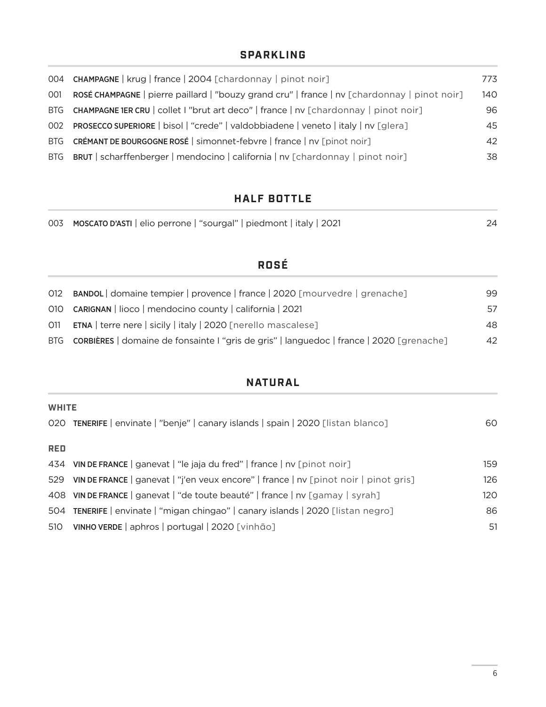#### **SPARKLING**

|     | 004 CHAMPAGNE   krug   france   2004 [chardonnay   pinot noir]                               | 773 |
|-----|----------------------------------------------------------------------------------------------|-----|
| 001 | ROSÉ CHAMPAGNE   pierre paillard   "bouzy grand cru"   france   nv [chardonnay   pinot noir] | 140 |
|     | BTG CHAMPAGNE 1ER CRU   collet I "brut art deco"   france   nv [chardonnay   pinot noir]     | 96  |
|     | 002 PROSECCO SUPERIORE   bisol   "crede"   valdobbiadene   veneto   italy   nv [glera]       | 45  |
|     | BTG CRÉMANT DE BOURGOGNE ROSÉ   simonnet-febvre   france   nv [pinot noir]                   | 42  |
|     | BTG BRUT   scharffenberger   mendocino   california   nv [chardonnay   pinot noir]           | 38  |

### **HALF BOTTLE**

|  | 003 MOSCATO D'ASTI   elio perrone   "sourgal"   piedmont   italy   2021 |  |
|--|-------------------------------------------------------------------------|--|
|  |                                                                         |  |

## **ROSÉ**

| 012 BANDOL domaine tempier   provence   france   2020 [mourvedre   grenache]                        | 99. |
|-----------------------------------------------------------------------------------------------------|-----|
| 010 <b>CARIGNAN</b>   lioco   mendocino county   california   2021                                  | 57  |
| 011 <b>ETNA</b>   terre nere   sicily   italy   2020 [nerello mascalese]                            | 48  |
| BTG <b>CORBIÈRES</b>   domaine de fonsainte I "gris de gris"   languedoc   france   2020 [grenache] | 42  |

### **NATURAL**

|            | <b>WHITE</b>                                                                         |     |  |  |
|------------|--------------------------------------------------------------------------------------|-----|--|--|
|            | 020 TENERIFE   envinate   "benje"   canary islands   spain   2020 [listan blanco]    | 60  |  |  |
|            |                                                                                      |     |  |  |
| <b>RED</b> |                                                                                      |     |  |  |
|            | 434 VIN DE FRANCE   ganevat   "le jaja du fred"   france   nv [pinot noir]           | 159 |  |  |
| 529        | VIN DE FRANCE   ganevat   "j'en veux encore"   france   nv [pinot noir   pinot gris] | 126 |  |  |
|            | 408 VIN DE FRANCE   ganevat   "de toute beauté"   france   nv [gamay   syrah]        | 120 |  |  |
|            | 504 TENERIFE   envinate   "migan chingao"   canary islands   2020 [listan negro]     | 86  |  |  |
| 510        | VINHO VERDE   aphros   portugal   2020 [vinhão]                                      | 51  |  |  |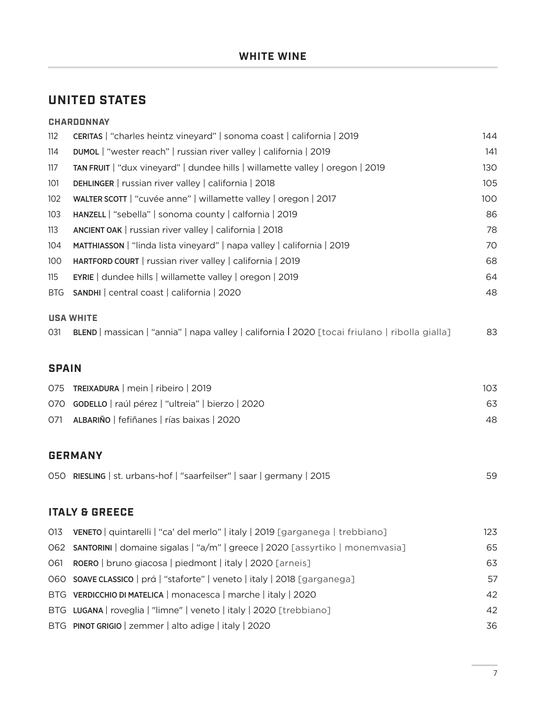## **UNITED STATES**

|              | <b>CHARDONNAY</b>                                                                              |     |
|--------------|------------------------------------------------------------------------------------------------|-----|
| 112          | CERITAS   "charles heintz vineyard"   sonoma coast   california   2019                         | 144 |
| 114          | DUMOL   "wester reach"   russian river valley   california   2019                              | 141 |
| 117          | TAN FRUIT   "dux vineyard"   dundee hills   willamette valley   oregon   2019                  | 130 |
| 101          | DEHLINGER   russian river valley   california   2018                                           | 105 |
| 102          | WALTER SCOTT   "cuvée anne"   willamette valley   oregon   2017                                | 100 |
| 103          | HANZELL   "sebella"   sonoma county   calfornia   2019                                         | 86  |
| 113          | ANCIENT OAK   russian river valley   california   2018                                         | 78  |
| 104          | MATTHIASSON   "linda lista vineyard"   napa valley   california   2019                         | 70  |
| 100          | HARTFORD COURT   russian river valley   california   2019                                      | 68  |
| 115          | EYRIE   dundee hills   willamette valley   oregon   2019                                       | 64  |
| <b>BTG</b>   | SANDHI   central coast   california   2020                                                     | 48  |
|              | <b>USA WHITE</b>                                                                               |     |
| 031          | BLEND   massican   "annia"   napa valley   california   2020 [tocai friulano   ribolla gialla] | 83  |
| <b>SPAIN</b> |                                                                                                |     |
| 075          | TREIXADURA   mein   ribeiro   2019                                                             | 103 |
|              | 070 GODELLO   raúl pérez   "ultreia"   bierzo   2020                                           | 63  |
| 071          | ALBARIÑO   fefiñanes   rías baixas   2020                                                      | 48  |
|              | <b>GERMANY</b>                                                                                 |     |
|              | 050 RIESLING   st. urbans-hof   "saarfeilser"   saar   germany   2015                          | 59  |
|              | <b>ITALY &amp; GREECE</b>                                                                      |     |
| 013          | VENETO   quintarelli   "ca' del merlo"   italy   2019 [garganega   trebbiano]                  | 123 |
| 062          | SANTORINI   domaine sigalas   "a/m"   greece   2020 [assyrtiko   monemvasia]                   | 65  |
| 061          | ROERO   bruno giacosa   piedmont   italy   2020 [arneis]                                       | 63  |
| 060          | SOAVE CLASSICO   prá   "staforte"   veneto   italy   2018 [garganega]                          | 57  |
| <b>BTG</b>   | VERDICCHIO DI MATELICA   monacesca   marche   italy   2020                                     | 42  |
|              | BTG LUGANA   roveglia   "limne"   veneto   italy   2020 [trebbiano]                            | 42  |
|              | BTG PINOT GRIGIO   zemmer   alto adige   italy   2020                                          | 36  |
|              |                                                                                                |     |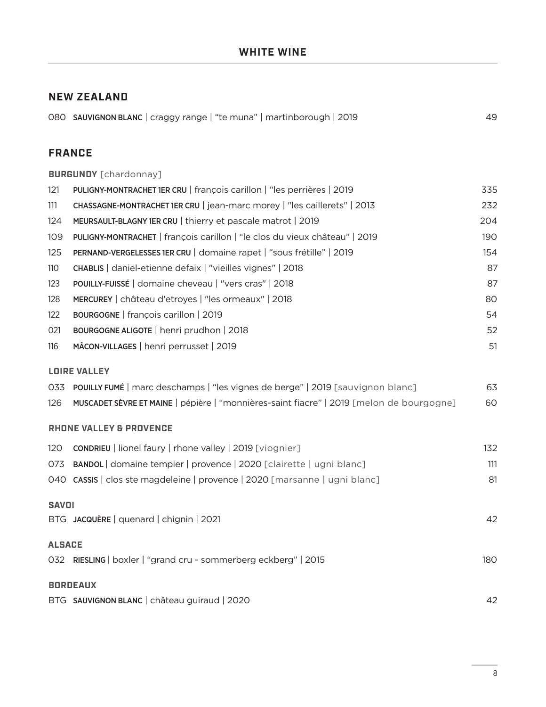#### **NEW ZEALAND**

#### **FRANCE**

|               | <b>BURGUNDY</b> [chardonnay]                                                             |     |
|---------------|------------------------------------------------------------------------------------------|-----|
| 121           | PULIGNY-MONTRACHET 1ER CRU   françois carillon   "les perrières   2019                   | 335 |
| 111           | CHASSAGNE-MONTRACHET 1ER CRU   jean-marc morey   "les caillerets"   2013                 | 232 |
| 124           | MEURSAULT-BLAGNY 1ER CRU   thierry et pascale matrot   2019                              | 204 |
| 109           | PULIGNY-MONTRACHET   françois carillon   "le clos du vieux château"   2019               | 190 |
| 125           | PERNAND-VERGELESSES 1ER CRU   domaine rapet   "sous frétille"   2019                     | 154 |
| 110           | CHABLIS   daniel-etienne defaix   "vieilles vignes"   2018                               | 87  |
| 123           | POUILLY-FUISSÉ   domaine cheveau   "vers cras"   2018                                    | 87  |
| 128           | MERCUREY   château d'etroyes   "les ormeaux"   2018                                      | 80  |
| 122           | BOURGOGNE   françois carillon   2019                                                     | 54  |
| 021           | BOURGOGNE ALIGOTE   henri prudhon   2018                                                 | 52  |
| 116           | MÂCON-VILLAGES   henri perrusset   2019                                                  | 51  |
|               | <b>LOIRE VALLEY</b>                                                                      |     |
| 033           | POUILLY FUMÉ   marc deschamps   "les vignes de berge"   2019 [sauvignon blanc]           | 63  |
| 126           | MUSCADET SÈVRE ET MAINE   pépière   "monnières-saint fiacre"   2019 [melon de bourgogne] | 60  |
|               | <b>RHONE VALLEY &amp; PROVENCE</b>                                                       |     |
| 120           | <b>CONDRIEU</b>   lionel faury   rhone valley   2019 [viognier]                          | 132 |
| 073           | BANDOL domaine tempier   provence   2020 [clairette   ugni blanc]                        | 111 |
|               | 040 CASSIS   clos ste magdeleine   provence   2020 [marsanne   ugni blanc]               | 81  |
| <b>SAVOI</b>  |                                                                                          |     |
|               | BTG JACQUÈRE   quenard   chignin   2021                                                  | 42  |
| <b>ALSACE</b> |                                                                                          |     |
|               | 032 RIESLING   boxler   "grand cru - sommerberg eckberg"   2015                          | 180 |
|               | <b>BORDEAUX</b>                                                                          |     |
|               | BTG SAUVIGNON BLANC   château guiraud   2020                                             | 42  |
|               |                                                                                          |     |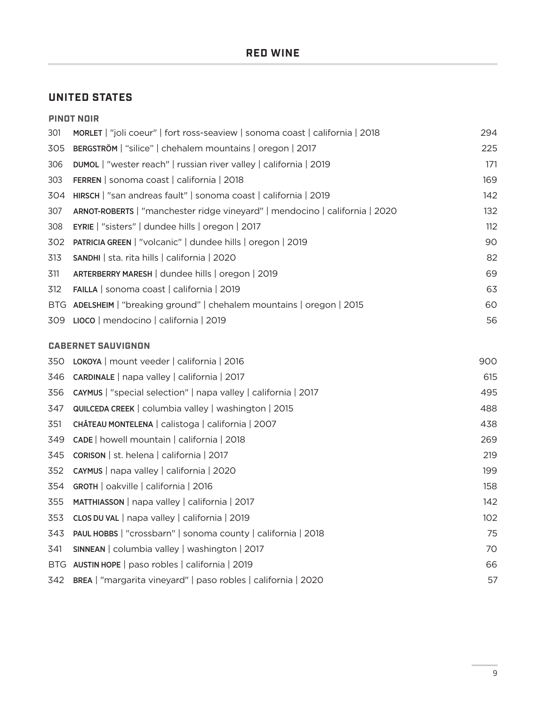### **UNITED STATES**

|            | <b>PINOT NOIR</b>                                                            |     |
|------------|------------------------------------------------------------------------------|-----|
| 301        | MORLET   "joli coeur"   fort ross-seaview   sonoma coast   california   2018 | 294 |
| 305        | BERGSTRÖM   "silice"   chehalem mountains   oregon   2017                    | 225 |
| 306        | <b>DUMOL</b>   "wester reach"   russian river valley   california   2019     | 171 |
| 303        | FERREN   sonoma coast   california   2018                                    | 169 |
| 304        | HIRSCH   "san andreas fault"   sonoma coast   california   2019              | 142 |
| 307        | ARNOT-ROBERTS   "manchester ridge vineyard"   mendocino   california   2020  | 132 |
| 308        | EYRIE   "sisters"   dundee hills   oregon   2017                             | 112 |
| 302        | PATRICIA GREEN   "volcanic"   dundee hills   oregon   2019                   | 90  |
| 313        | SANDHI   sta. rita hills   california   2020                                 | 82  |
| 311        | ARTERBERRY MARESH   dundee hills   oregon   2019                             | 69  |
| 312        | FAILLA   sonoma coast   california   2019                                    | 63  |
| <b>BTG</b> | ADELSHEIM   "breaking ground"   chehalem mountains   oregon   2015           | 60  |
| 309        | LIOCO   mendocino   california   2019                                        | 56  |
|            | <b>CABERNET SAUVIGNON</b>                                                    |     |
| 350        | LOKOYA   mount veeder   california   2016                                    | 900 |
| 346        | CARDINALE   napa valley   california   2017                                  | 615 |
| 356        | CAYMUS   "special selection"   napa valley   california   2017               | 495 |
| 347        | QUILCEDA CREEK   columbia valley   washington   2015                         | 488 |
| 351        | CHÂTEAU MONTELENA   calistoga   california   2007                            | 438 |
| 349        | CADE   howell mountain   california   2018                                   | 269 |
| 345        | <b>CORISON</b>   st. helena   california   2017                              | 219 |
| 352        | CAYMUS   napa valley   california   2020                                     | 199 |
| 354        | GROTH   oakville   california   2016                                         | 158 |
| 355        | MATTHIASSON   napa valley   california   2017                                | 142 |
| 353        | CLOS DU VAL   napa valley   california   2019                                | 102 |
| 343        | PAUL HOBBS   "crossbarn"   sonoma county   california   2018                 | 75  |
| 341        | SINNEAN   columbia valley   washington   2017                                | 70  |
| <b>BTG</b> | AUSTIN HOPE   paso robles   california   2019                                | 66  |
| 342        | BREA   "margarita vineyard"   paso robles   california   2020                | 57  |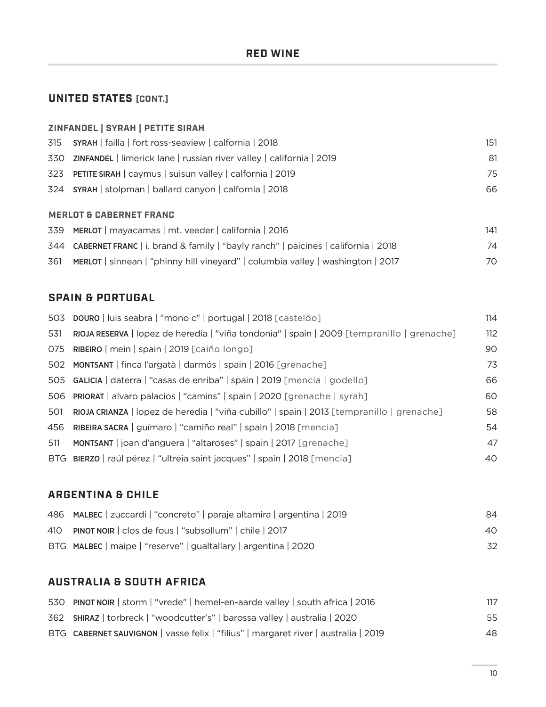### **UNITED STATES [CONT.]**

#### **ZINFANDEL | SYRAH | PETITE SIRAH**

| 315 SYRAH   failla   fort ross-seaview   calfornia   2018                | 151   |
|--------------------------------------------------------------------------|-------|
| 330 ZINFANDEL   limerick lane   russian river valley   california   2019 | 81    |
| 323 PETITE SIRAH   caymus   suisun valley   calfornia   2019             | 75    |
| 324 SYRAH   stolpman   ballard canyon   calfornia   2018                 | 66    |
| <b>MERLOT &amp; CABERNET FRANC</b>                                       |       |
| 270 MFDLOT movecames mt veeder oplifernia 2016                           | 1 1 1 |

| 339 MERLOT   mayacamas   mt. veeder   california   2016                               | 141 |
|---------------------------------------------------------------------------------------|-----|
| 344 CABERNET FRANC   i. brand & family   "bayly ranch"   paicines   california   2018 | 74  |
| 361 MERLOT   sinnean   "phinny hill vineyard"   columbia valley   washington   2017   | 70  |

#### **SPAIN & PORTUGAL**

|     | 503 DOURO   luis seabra   "mono c"   portugal   2018 [castelão]                            | 114 |
|-----|--------------------------------------------------------------------------------------------|-----|
| 531 | RIOJA RESERVA   lopez de heredia   "viña tondonia"   spain   2009 [tempranillo   grenache] | 112 |
|     | 075 RIBEIRO   mein   spain   2019 [caiño longo]                                            | 90  |
|     | 502 MONTSANT   finca l'argatà   darmós   spain   2016 [grenache]                           | 73  |
|     | 505 GALICIA   daterra   "casas de enriba"   spain   2019 [mencia   godello]                | 66  |
|     | 506 PRIORAT   alvaro palacios   "camins"   spain   2020 [grenache   syrah]                 | 60  |
| 501 | RIOJA CRIANZA   lopez de heredia   "viña cubillo"   spain   2013 [tempranillo   grenache]  | 58  |
| 456 | RIBEIRA SACRA   guímaro   "camiño real"   spain   2018 [mencia]                            | 54  |
| 511 | MONTSANT   joan d'anguera   "altaroses"   spain   2017 [grenache]                          | 47  |
|     | BTG BIERZO   raúl pérez   "ultreia saint jacques"   spain   2018 [mencia]                  | 40  |

#### **ARGENTINA & CHILE**

| 486 MALBEC   zuccardi   "concreto"   paraje altamira   argentina   2019 | 84 |
|-------------------------------------------------------------------------|----|
| 410 PINOT NOIR   clos de fous   "subsollum"   chile   2017              | 40 |
| BTG MALBEC   maipe   "reserve"   gualtallary   argentina   2020         | 32 |

## **AUSTRALIA & SOUTH AFRICA**

| 530 PINOT NOIR   storm   "vrede"   hemel-en-aarde valley   south africa   2016      |    |
|-------------------------------------------------------------------------------------|----|
| 362 SHIRAZ   torbreck   "woodcutter's"   barossa valley   australia   2020          | 55 |
| BTG CABERNET SAUVIGNON   vasse felix   "filius"   margaret river   australia   2019 | 48 |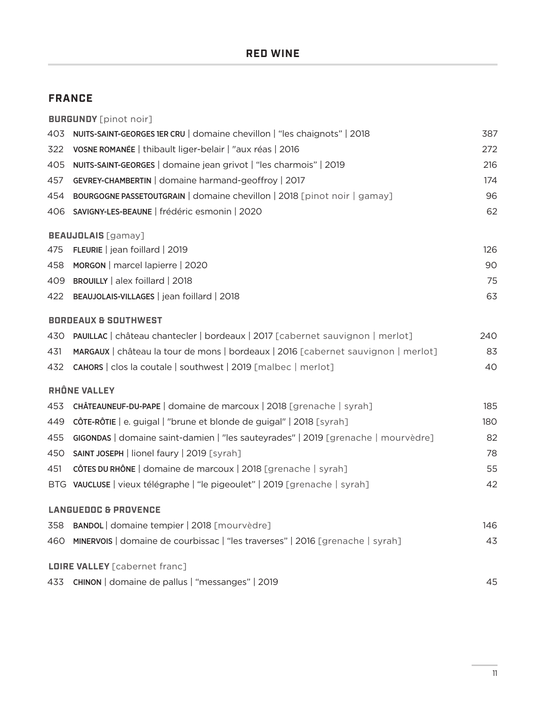#### **FRANCE**

|     | <b>BURGUNDY</b> [pinot noir]                                                      |     |
|-----|-----------------------------------------------------------------------------------|-----|
| 403 | NUITS-SAINT-GEORGES 1ER CRU   domaine chevillon   "les chaignots"   2018          | 387 |
| 322 | VOSNE ROMANÉE   thibault liger-belair   "aux réas   2016                          | 272 |
| 405 | NUITS-SAINT-GEORGES   domaine jean grivot   "les charmois"   2019                 | 216 |
| 457 | GEVREY-CHAMBERTIN   domaine harmand-geoffroy   2017                               | 174 |
| 454 | BOURGOGNE PASSETOUTGRAIN   domaine chevillon   2018 [pinot noir   gamay]          | 96  |
| 406 | SAVIGNY-LES-BEAUNE   frédéric esmonin   2020                                      | 62  |
|     | <b>BEAUJOLAIS</b> [gamay]                                                         |     |
| 475 | FLEURIE   jean foillard   2019                                                    | 126 |
| 458 | MORGON   marcel lapierre   2020                                                   | 90  |
|     | 409 BROUILLY   alex foillard   2018                                               | 75  |
| 422 | BEAUJOLAIS-VILLAGES   jean foillard   2018                                        | 63  |
|     | <b>BORDEAUX &amp; SOUTHWEST</b>                                                   |     |
| 430 | PAUILLAC   château chantecler   bordeaux   2017 [cabernet sauvignon   merlot]     | 240 |
| 431 | MARGAUX   château la tour de mons   bordeaux   2016 [cabernet sauvignon   merlot] | 83  |
|     | 432 CAHORS   clos la coutale   southwest   2019 [malbec   merlot]                 | 40  |
|     | <b>RHÔNE VALLEY</b>                                                               |     |
| 453 | CHÂTEAUNEUF-DU-PAPE   domaine de marcoux   2018 [grenache   syrah]                | 185 |
| 449 | CÔTE-RÔTIE   e. guigal   "brune et blonde de guigal"   2018 [syrah]               | 180 |
| 455 | GIGONDAS   domaine saint-damien   "les sauteyrades"   2019 [grenache   mourvèdre] | 82  |
| 450 | SAINT JOSEPH   lionel faury   2019 [syrah]                                        | 78  |
| 451 | CÔTES DU RHÔNE   domaine de marcoux   2018 [grenache   syrah]                     | 55  |
|     | BTG VAUCLUSE   vieux télégraphe   "le pigeoulet"   2019 [grenache   syrah]        | 42  |
|     | <b>LANGUEDOC &amp; PROVENCE</b>                                                   |     |
| 358 | BANDOL domaine tempier   2018 [mourvèdre]                                         | 146 |
| 460 | MINERVOIS   domaine de courbissac   "les traverses"   2016 [grenache   syrah]     | 43  |
|     | <b>LOIRE VALLEY</b> [cabernet franc]                                              |     |
|     | 433 CHINON   domaine de pallus   "messanges"   2019                               | 45  |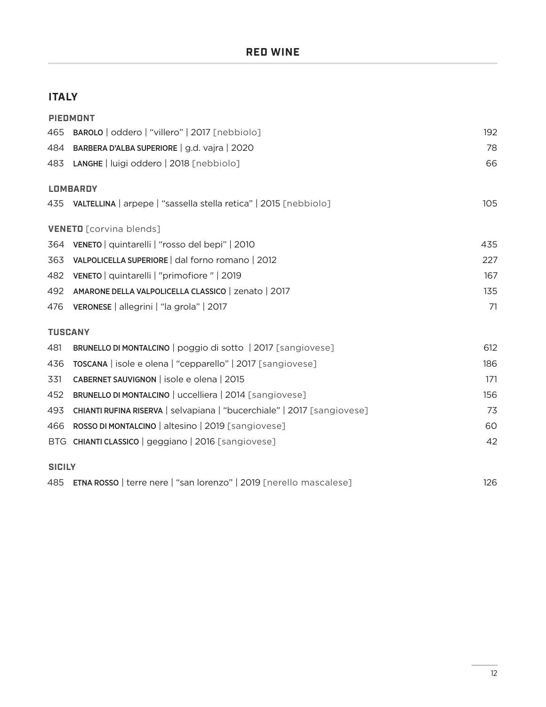### **ITALY**

|                | <b>PIEDMONT</b>                                                         |     |
|----------------|-------------------------------------------------------------------------|-----|
| 465            | BAROLO   oddero   "villero"   2017 [nebbiolo]                           | 192 |
| 484            | BARBERA D'ALBA SUPERIORE   g.d. vajra   2020                            | 78  |
|                | 483 LANGHE   luigi oddero   2018 [nebbiolo]                             | 66  |
|                | <b>LOMBARDY</b>                                                         |     |
|                | 435 VALTELLINA   arpepe   "sassella stella retica"   2015 [nebbiolo]    | 105 |
|                | <b>VENETO</b> [corvina blends]                                          |     |
| 364            | VENETO   quintarelli   "rosso del bepi"   2010                          | 435 |
| 363            | VALPOLICELLA SUPERIORE   dal forno romano   2012                        | 227 |
| 482            | VENETO   quintarelli   "primofiore"   2019                              | 167 |
| 492            | AMARONE DELLA VALPOLICELLA CLASSICO   zenato   2017                     | 135 |
| 476            | VERONESE   allegrini   "la grola"   2017                                | 71  |
| <b>TUSCANY</b> |                                                                         |     |
| 481            | BRUNELLO DI MONTALCINO   poggio di sotto   2017 [sangiovese]            | 612 |
| 436            | TOSCANA   isole e olena   "cepparello"   2017 [sangiovese]              | 186 |
| 331            | CABERNET SAUVIGNON   isole e olena   2015                               | 171 |
| 452            | BRUNELLO DI MONTALCINO   uccelliera   2014 [sangiovese]                 | 156 |
| 493            | CHIANTI RUFINA RISERVA   selvapiana   "bucerchiale"   2017 [sangiovese] | 73  |
| 466            | ROSSO DI MONTALCINO   altesino   2019 [sangiovese]                      | 60  |
|                | BTG CHIANTI CLASSICO   geggiano   2016 [sangiovese]                     | 42  |
| <b>SICILY</b>  |                                                                         |     |
|                | 485 ETNA ROSSO   terre nere   "san lorenzo"   2019 [nerello mascalese]  | 126 |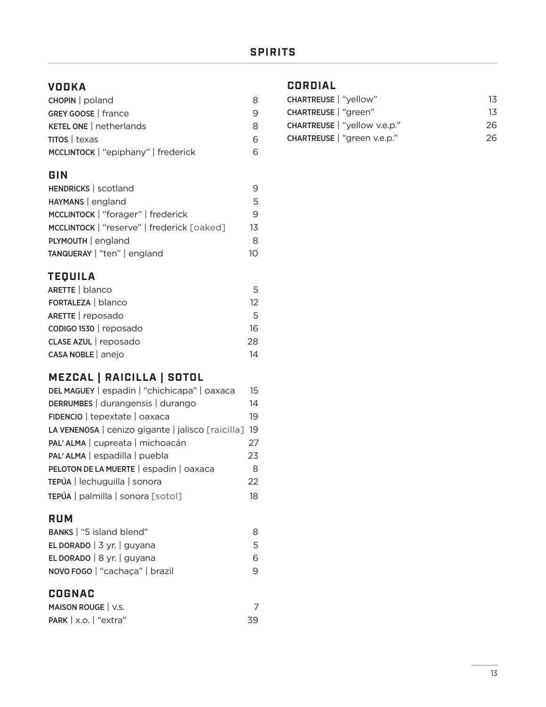### **VODKA**

| $CHOPIN  $ poland                   | 8  |
|-------------------------------------|----|
| GREY GOOSE   france                 | 9  |
| <b>KETEL ONE   netherlands</b>      | 8  |
| $TITOS$   texas                     | 6  |
| MCCLINTOCK   "epiphany"   frederick | ิค |

### **GIN**

| HENDRICKS   scotland                       | 9  |
|--------------------------------------------|----|
| HAYMANS   england                          | 5  |
| MCCLINTOCK   "forager"   frederick         | 9  |
| MCCLINTOCK   "reserve"   frederick [oaked] | 13 |
| PLYMOUTH   england                         | 8  |
| TANQUERAY   "ten"   england                | 10 |

#### **TEQUILA**

| ARETTE   blanco        | 5  |
|------------------------|----|
| FORTALEZA   blanco     | 12 |
| ARETTE   reposado      | 5  |
| CODIGO 1530   reposado | 16 |
| CLASE AZUL   reposado  | 28 |
| CASA NOBLE   anejo     | 14 |

## **MEZCAL | RAICILLA | SOTOL**

| DEL MAGUEY   espadin   "chichicapa"   oaxaca      | 15 |
|---------------------------------------------------|----|
| DERRUMBES   durangensis   durango                 | 14 |
| FIDENCIO   tepextate   oaxaca                     | 19 |
| LA VENENOSA   cenizo gigante   jalisco [raicilla] | 19 |
| PAL'ALMA   cupreata   michoacán                   | 27 |
| PAL'ALMA   espadilla   puebla                     | 23 |
| PELOTON DE LA MUERTE   espadin   oaxaca           | 8  |
| TEPÚA   lechuguilla   sonora                      | 22 |
| TEPÚA   palmilla   sonora [sotol]                 | 18 |

### **RUM**

| BANKS   "5 island blend"       | 8 |
|--------------------------------|---|
| EL DORADO $ 3$ yr. $ $ guyana  | 5 |
| EL DORADO   $8$ yr.   guyana   | 6 |
| NOVO FOGO   "cachaça"   brazil | q |

## **COGNAC**

| MAISON ROUGE   V.S.                      |    |
|------------------------------------------|----|
| <b>PARK</b> $\vert$ x.o. $\vert$ "extra" | 39 |

## **CORDIAL**

| 13 |
|----|
| 13 |
| 26 |
| 26 |
|    |